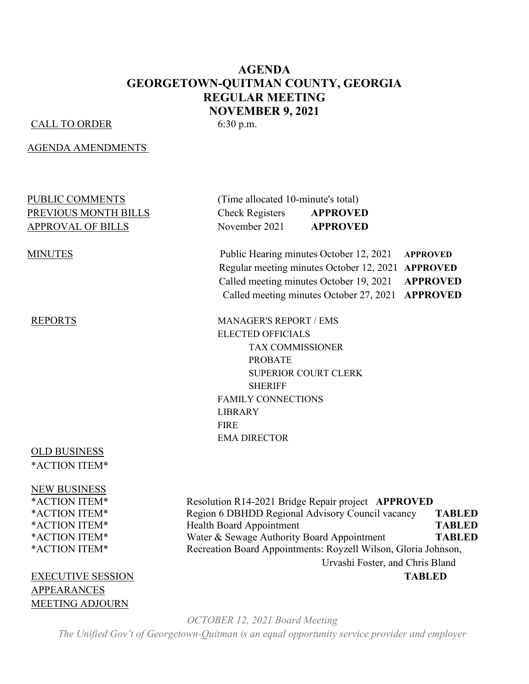## **AGENDA GEORGETOWN-QUITMAN COUNTY, GEORGIA REGULAR MEETING NOVEMBER 9, 2021**

#### CALL TO ORDER 6:30 p.m.

AGENDA AMENDMENTS

| PUBLIC COMMENTS          | (Time allocated 10-minute's total) |                                                             |  |
|--------------------------|------------------------------------|-------------------------------------------------------------|--|
| PREVIOUS MONTH BILLS     | <b>Check Registers</b>             | <b>APPROVED</b>                                             |  |
| <b>APPROVAL OF BILLS</b> | November 2021                      | <b>APPROVED</b>                                             |  |
| <b>MINUTES</b>           |                                    | Public Hearing minutes October 12, 2021<br><b>APPROVED</b>  |  |
|                          |                                    | Regular meeting minutes October 12, 2021<br><b>APPROVED</b> |  |
|                          |                                    | Called meeting minutes October 19, 2021<br><b>APPROVED</b>  |  |
|                          |                                    | Called meeting minutes October 27, 2021<br><b>APPROVED</b>  |  |
| <b>REPORTS</b>           | <b>MANAGER'S REPORT / EMS</b>      |                                                             |  |
|                          | <b>ELECTED OFFICIALS</b>           |                                                             |  |
|                          | <b>TAX COMMISSIONER</b>            |                                                             |  |
|                          | <b>PROBATE</b>                     |                                                             |  |
|                          |                                    | <b>SUPERIOR COURT CLERK</b>                                 |  |
|                          | <b>SHERIFF</b>                     |                                                             |  |
|                          | <b>FAMILY CONNECTIONS</b>          |                                                             |  |
|                          | <b>LIBRARY</b>                     |                                                             |  |
|                          | <b>FIRE</b>                        |                                                             |  |
|                          | <b>EMA DIRECTOR</b>                |                                                             |  |
| <b>OLD BUSINESS</b>      |                                    |                                                             |  |
| *ACTION ITEM*            |                                    |                                                             |  |

NEW BUSINESS

APPEARANCES MEETING ADJOURN

\*ACTION ITEM\* Resolution R14-2021 Bridge Repair project **APPROVED** \*ACTION ITEM\* Region 6 DBHDD Regional Advisory Council vacancy **TABLED** \*ACTION ITEM\* Health Board Appointment **TABLED** \*ACTION ITEM\* Water & Sewage Authority Board Appointment **TABLED** \*ACTION ITEM\* Recreation Board Appointments: Royzell Wilson, Gloria Johnson, Urvashi Foster, and Chris Bland EXECUTIVE SESSION **TABLED**

*OCTOBER 12, 2021 Board Meeting*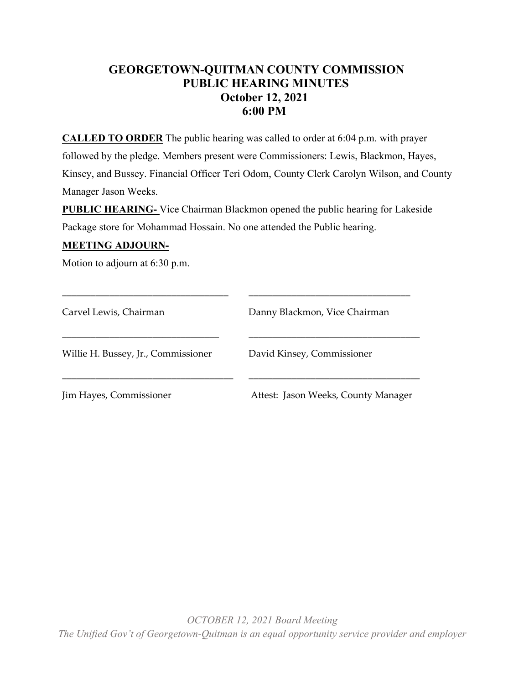## **GEORGETOWN-QUITMAN COUNTY COMMISSION PUBLIC HEARING MINUTES October 12, 2021 6:00 PM**

**CALLED TO ORDER** The public hearing was called to order at 6:04 p.m. with prayer followed by the pledge. Members present were Commissioners: Lewis, Blackmon, Hayes, Kinsey, and Bussey. Financial Officer Teri Odom, County Clerk Carolyn Wilson, and County Manager Jason Weeks.

**PUBLIC HEARING-** Vice Chairman Blackmon opened the public hearing for Lakeside Package store for Mohammad Hossain. No one attended the Public hearing.

### **MEETING ADJOURN-**

Motion to adjourn at 6:30 p.m.

| Carvel Lewis, Chairman              | Danny Blackmon, Vice Chairman       |
|-------------------------------------|-------------------------------------|
| Willie H. Bussey, Jr., Commissioner | David Kinsey, Commissioner          |
| Jim Hayes, Commissioner             | Attest: Jason Weeks, County Manager |

\_\_\_\_\_\_\_\_\_\_\_\_\_\_\_\_\_\_\_\_\_\_\_\_\_\_\_\_\_\_\_\_\_\_\_ \_\_\_\_\_\_\_\_\_\_\_\_\_\_\_\_\_\_\_\_\_\_\_\_\_\_\_\_\_\_\_\_\_\_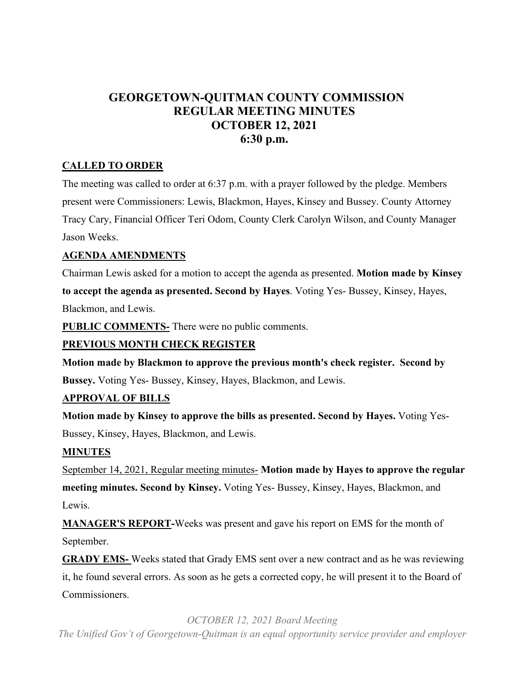## **GEORGETOWN-QUITMAN COUNTY COMMISSION REGULAR MEETING MINUTES OCTOBER 12, 2021 6:30 p.m.**

## **CALLED TO ORDER**

The meeting was called to order at 6:37 p.m. with a prayer followed by the pledge. Members present were Commissioners: Lewis, Blackmon, Hayes, Kinsey and Bussey. County Attorney Tracy Cary, Financial Officer Teri Odom, County Clerk Carolyn Wilson, and County Manager Jason Weeks.

## **AGENDA AMENDMENTS**

Chairman Lewis asked for a motion to accept the agenda as presented. **Motion made by Kinsey to accept the agenda as presented. Second by Hayes**. Voting Yes- Bussey, Kinsey, Hayes, Blackmon, and Lewis.

**PUBLIC COMMENTS-** There were no public comments.

## **PREVIOUS MONTH CHECK REGISTER**

**Motion made by Blackmon to approve the previous month's check register. Second by Bussey.** Voting Yes- Bussey, Kinsey, Hayes, Blackmon, and Lewis.

## **APPROVAL OF BILLS**

**Motion made by Kinsey to approve the bills as presented. Second by Hayes.** Voting Yes-Bussey, Kinsey, Hayes, Blackmon, and Lewis.

## **MINUTES**

September 14, 2021, Regular meeting minutes- **Motion made by Hayes to approve the regular meeting minutes. Second by Kinsey.** Voting Yes- Bussey, Kinsey, Hayes, Blackmon, and Lewis.

**MANAGER'S REPORT-**Weeks was present and gave his report on EMS for the month of September.

**GRADY EMS-** Weeks stated that Grady EMS sent over a new contract and as he was reviewing it, he found several errors. As soon as he gets a corrected copy, he will present it to the Board of Commissioners.

#### *OCTOBER 12, 2021 Board Meeting*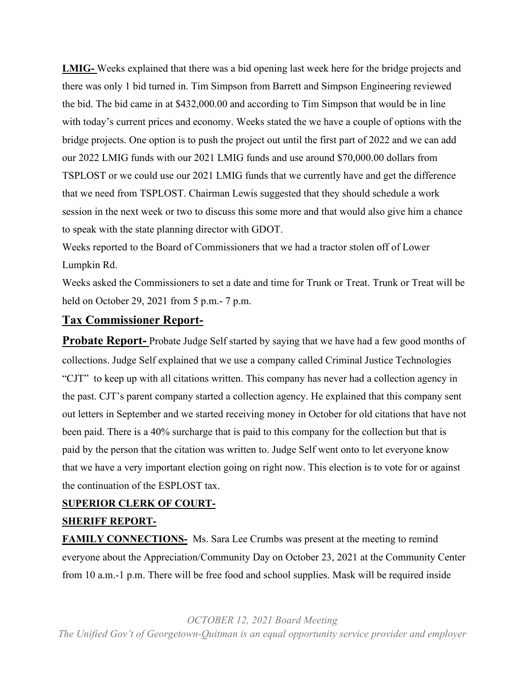**LMIG-** Weeks explained that there was a bid opening last week here for the bridge projects and there was only 1 bid turned in. Tim Simpson from Barrett and Simpson Engineering reviewed the bid. The bid came in at \$432,000.00 and according to Tim Simpson that would be in line with today's current prices and economy. Weeks stated the we have a couple of options with the bridge projects. One option is to push the project out until the first part of 2022 and we can add our 2022 LMIG funds with our 2021 LMIG funds and use around \$70,000.00 dollars from TSPLOST or we could use our 2021 LMIG funds that we currently have and get the difference that we need from TSPLOST. Chairman Lewis suggested that they should schedule a work session in the next week or two to discuss this some more and that would also give him a chance to speak with the state planning director with GDOT.

Weeks reported to the Board of Commissioners that we had a tractor stolen off of Lower Lumpkin Rd.

Weeks asked the Commissioners to set a date and time for Trunk or Treat. Trunk or Treat will be held on October 29, 2021 from 5 p.m.- 7 p.m.

## **Tax Commissioner Report-**

**Probate Report-** Probate Judge Self started by saying that we have had a few good months of collections. Judge Self explained that we use a company called Criminal Justice Technologies "CJT" to keep up with all citations written. This company has never had a collection agency in the past. CJT's parent company started a collection agency. He explained that this company sent out letters in September and we started receiving money in October for old citations that have not been paid. There is a 40% surcharge that is paid to this company for the collection but that is paid by the person that the citation was written to. Judge Self went onto to let everyone know that we have a very important election going on right now. This election is to vote for or against the continuation of the ESPLOST tax.

## **SUPERIOR CLERK OF COURT-**

## **SHERIFF REPORT-**

**FAMILY CONNECTIONS-** Ms. Sara Lee Crumbs was present at the meeting to remind everyone about the Appreciation/Community Day on October 23, 2021 at the Community Center from 10 a.m.-1 p.m. There will be free food and school supplies. Mask will be required inside

*OCTOBER 12, 2021 Board Meeting*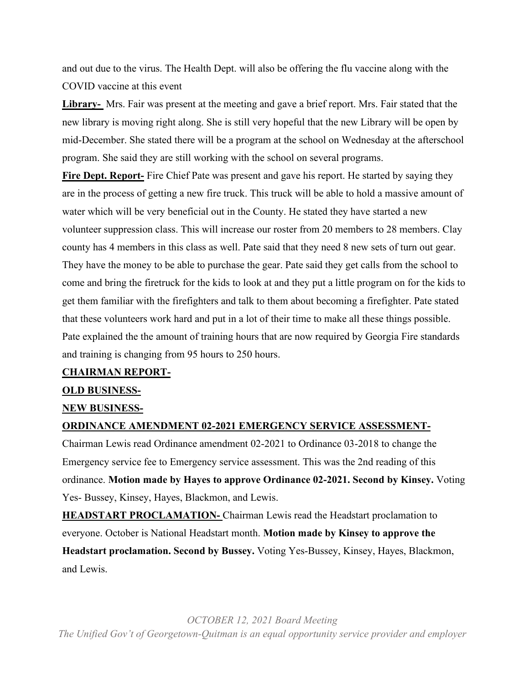and out due to the virus. The Health Dept. will also be offering the flu vaccine along with the COVID vaccine at this event

**Library-** Mrs. Fair was present at the meeting and gave a brief report. Mrs. Fair stated that the new library is moving right along. She is still very hopeful that the new Library will be open by mid-December. She stated there will be a program at the school on Wednesday at the afterschool program. She said they are still working with the school on several programs.

**Fire Dept. Report-** Fire Chief Pate was present and gave his report. He started by saying they are in the process of getting a new fire truck. This truck will be able to hold a massive amount of water which will be very beneficial out in the County. He stated they have started a new volunteer suppression class. This will increase our roster from 20 members to 28 members. Clay county has 4 members in this class as well. Pate said that they need 8 new sets of turn out gear. They have the money to be able to purchase the gear. Pate said they get calls from the school to come and bring the firetruck for the kids to look at and they put a little program on for the kids to get them familiar with the firefighters and talk to them about becoming a firefighter. Pate stated that these volunteers work hard and put in a lot of their time to make all these things possible. Pate explained the the amount of training hours that are now required by Georgia Fire standards and training is changing from 95 hours to 250 hours.

#### **CHAIRMAN REPORT-**

#### **OLD BUSINESS-**

#### **NEW BUSINESS-**

#### **ORDINANCE AMENDMENT 02-2021 EMERGENCY SERVICE ASSESSMENT-**

Chairman Lewis read Ordinance amendment 02-2021 to Ordinance 03-2018 to change the Emergency service fee to Emergency service assessment. This was the 2nd reading of this ordinance. **Motion made by Hayes to approve Ordinance 02-2021. Second by Kinsey.** Voting Yes- Bussey, Kinsey, Hayes, Blackmon, and Lewis.

**HEADSTART PROCLAMATION-** Chairman Lewis read the Headstart proclamation to everyone. October is National Headstart month. **Motion made by Kinsey to approve the Headstart proclamation. Second by Bussey.** Voting Yes-Bussey, Kinsey, Hayes, Blackmon, and Lewis.

*OCTOBER 12, 2021 Board Meeting*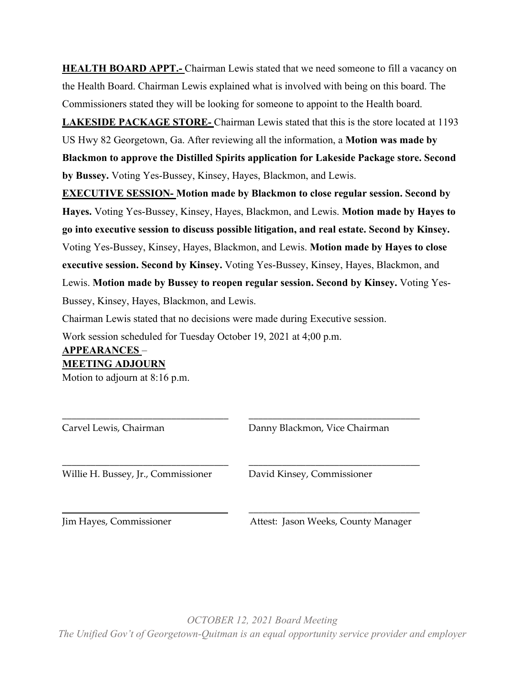**HEALTH BOARD APPT.** Chairman Lewis stated that we need someone to fill a vacancy on the Health Board. Chairman Lewis explained what is involved with being on this board. The Commissioners stated they will be looking for someone to appoint to the Health board.

**LAKESIDE PACKAGE STORE-** Chairman Lewis stated that this is the store located at 1193 US Hwy 82 Georgetown, Ga. After reviewing all the information, a **Motion was made by Blackmon to approve the Distilled Spirits application for Lakeside Package store. Second by Bussey.** Voting Yes-Bussey, Kinsey, Hayes, Blackmon, and Lewis.

**EXECUTIVE SESSION- Motion made by Blackmon to close regular session. Second by Hayes.** Voting Yes-Bussey, Kinsey, Hayes, Blackmon, and Lewis. **Motion made by Hayes to go into executive session to discuss possible litigation, and real estate. Second by Kinsey.** Voting Yes-Bussey, Kinsey, Hayes, Blackmon, and Lewis. **Motion made by Hayes to close executive session. Second by Kinsey.** Voting Yes-Bussey, Kinsey, Hayes, Blackmon, and Lewis. **Motion made by Bussey to reopen regular session. Second by Kinsey.** Voting Yes-Bussey, Kinsey, Hayes, Blackmon, and Lewis.

Chairman Lewis stated that no decisions were made during Executive session.

Work session scheduled for Tuesday October 19, 2021 at 4;00 p.m.

# **APPEARANCES** –

## **MEETING ADJOURN**

Motion to adjourn at 8:16 p.m.

| Carvel Lewis, Chairman              | Danny Blackmon, Vice Chairman |
|-------------------------------------|-------------------------------|
| Willie H. Bussey, Jr., Commissioner | David Kinsey, Commissioner    |
|                                     |                               |

Jim Hayes, Commissioner Attest: Jason Weeks, County Manager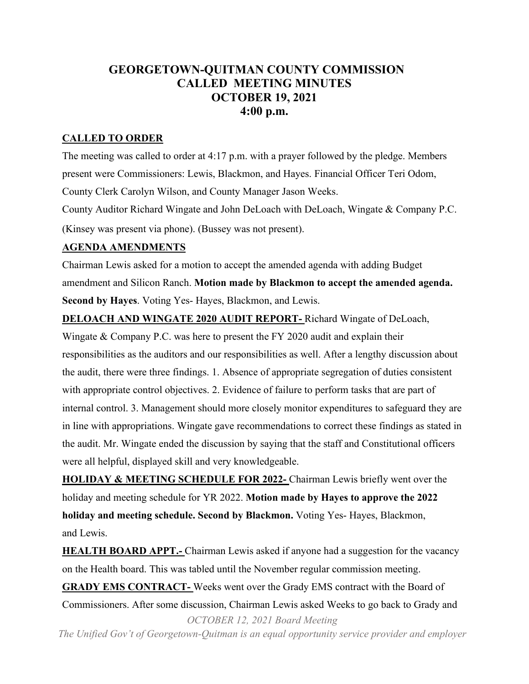## **GEORGETOWN-QUITMAN COUNTY COMMISSION CALLED MEETING MINUTES OCTOBER 19, 2021 4:00 p.m.**

## **CALLED TO ORDER**

The meeting was called to order at 4:17 p.m. with a prayer followed by the pledge. Members present were Commissioners: Lewis, Blackmon, and Hayes. Financial Officer Teri Odom, County Clerk Carolyn Wilson, and County Manager Jason Weeks.

County Auditor Richard Wingate and John DeLoach with DeLoach, Wingate & Company P.C. (Kinsey was present via phone). (Bussey was not present).

## **AGENDA AMENDMENTS**

Chairman Lewis asked for a motion to accept the amended agenda with adding Budget amendment and Silicon Ranch. **Motion made by Blackmon to accept the amended agenda. Second by Hayes**. Voting Yes- Hayes, Blackmon, and Lewis.

## **DELOACH AND WINGATE 2020 AUDIT REPORT-** Richard Wingate of DeLoach,

Wingate & Company P.C. was here to present the FY 2020 audit and explain their responsibilities as the auditors and our responsibilities as well. After a lengthy discussion about the audit, there were three findings. 1. Absence of appropriate segregation of duties consistent with appropriate control objectives. 2. Evidence of failure to perform tasks that are part of internal control. 3. Management should more closely monitor expenditures to safeguard they are in line with appropriations. Wingate gave recommendations to correct these findings as stated in the audit. Mr. Wingate ended the discussion by saying that the staff and Constitutional officers were all helpful, displayed skill and very knowledgeable.

**HOLIDAY & MEETING SCHEDULE FOR 2022-** Chairman Lewis briefly went over the holiday and meeting schedule for YR 2022. **Motion made by Hayes to approve the 2022 holiday and meeting schedule. Second by Blackmon.** Voting Yes- Hayes, Blackmon, and Lewis.

*OCTOBER 12, 2021 Board Meeting* **HEALTH BOARD APPT.-** Chairman Lewis asked if anyone had a suggestion for the vacancy on the Health board. This was tabled until the November regular commission meeting. **GRADY EMS CONTRACT-** Weeks went over the Grady EMS contract with the Board of Commissioners. After some discussion, Chairman Lewis asked Weeks to go back to Grady and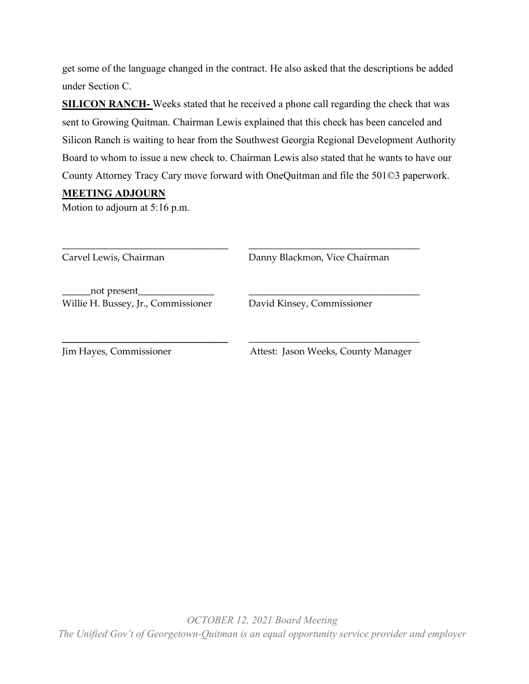get some of the language changed in the contract. He also asked that the descriptions be added under Section C.

**SILICON RANCH-** Weeks stated that he received a phone call regarding the check that was sent to Growing Quitman. Chairman Lewis explained that this check has been canceled and Silicon Ranch is waiting to hear from the Southwest Georgia Regional Development Authority Board to whom to issue a new check to. Chairman Lewis also stated that he wants to have our County Attorney Tracy Cary move forward with OneQuitman and file the 501©3 paperwork.

## **MEETING ADJOURN**

Motion to adjourn at 5:16 p.m.

| Carvel Lewis, Chairman                               | Danny Blackmon, Vice Chairman       |
|------------------------------------------------------|-------------------------------------|
| _not present_<br>Willie H. Bussey, Jr., Commissioner | David Kinsey, Commissioner          |
| Jim Hayes, Commissioner                              | Attest: Jason Weeks, County Manager |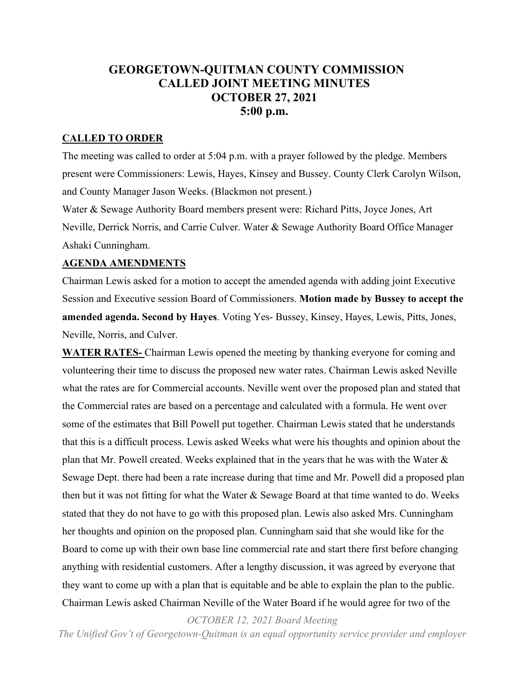## **GEORGETOWN-QUITMAN COUNTY COMMISSION CALLED JOINT MEETING MINUTES OCTOBER 27, 2021 5:00 p.m.**

### **CALLED TO ORDER**

The meeting was called to order at 5:04 p.m. with a prayer followed by the pledge. Members present were Commissioners: Lewis, Hayes, Kinsey and Bussey. County Clerk Carolyn Wilson, and County Manager Jason Weeks. (Blackmon not present.)

Water & Sewage Authority Board members present were: Richard Pitts, Joyce Jones, Art Neville, Derrick Norris, and Carrie Culver. Water & Sewage Authority Board Office Manager Ashaki Cunningham.

#### **AGENDA AMENDMENTS**

Chairman Lewis asked for a motion to accept the amended agenda with adding joint Executive Session and Executive session Board of Commissioners. **Motion made by Bussey to accept the amended agenda. Second by Hayes**. Voting Yes- Bussey, Kinsey, Hayes, Lewis, Pitts, Jones, Neville, Norris, and Culver.

**WATER RATES-** Chairman Lewis opened the meeting by thanking everyone for coming and volunteering their time to discuss the proposed new water rates. Chairman Lewis asked Neville what the rates are for Commercial accounts. Neville went over the proposed plan and stated that the Commercial rates are based on a percentage and calculated with a formula. He went over some of the estimates that Bill Powell put together. Chairman Lewis stated that he understands that this is a difficult process. Lewis asked Weeks what were his thoughts and opinion about the plan that Mr. Powell created. Weeks explained that in the years that he was with the Water & Sewage Dept. there had been a rate increase during that time and Mr. Powell did a proposed plan then but it was not fitting for what the Water & Sewage Board at that time wanted to do. Weeks stated that they do not have to go with this proposed plan. Lewis also asked Mrs. Cunningham her thoughts and opinion on the proposed plan. Cunningham said that she would like for the Board to come up with their own base line commercial rate and start there first before changing anything with residential customers. After a lengthy discussion, it was agreed by everyone that they want to come up with a plan that is equitable and be able to explain the plan to the public. Chairman Lewis asked Chairman Neville of the Water Board if he would agree for two of the

*OCTOBER 12, 2021 Board Meeting*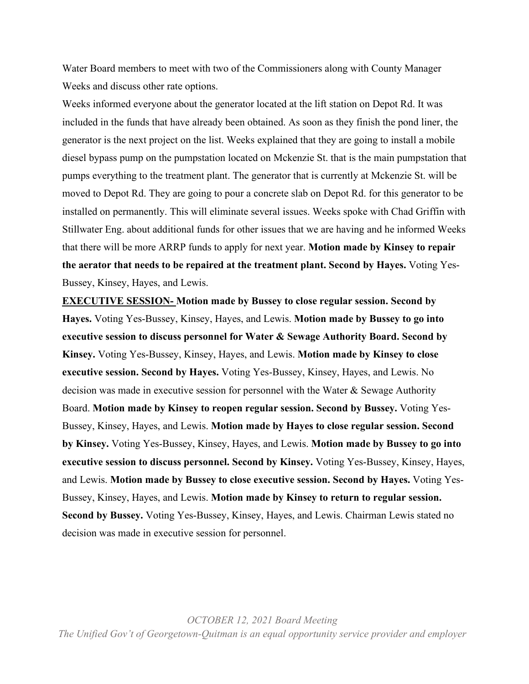Water Board members to meet with two of the Commissioners along with County Manager Weeks and discuss other rate options.

Weeks informed everyone about the generator located at the lift station on Depot Rd. It was included in the funds that have already been obtained. As soon as they finish the pond liner, the generator is the next project on the list. Weeks explained that they are going to install a mobile diesel bypass pump on the pumpstation located on Mckenzie St. that is the main pumpstation that pumps everything to the treatment plant. The generator that is currently at Mckenzie St. will be moved to Depot Rd. They are going to pour a concrete slab on Depot Rd. for this generator to be installed on permanently. This will eliminate several issues. Weeks spoke with Chad Griffin with Stillwater Eng. about additional funds for other issues that we are having and he informed Weeks that there will be more ARRP funds to apply for next year. **Motion made by Kinsey to repair the aerator that needs to be repaired at the treatment plant. Second by Hayes.** Voting Yes-Bussey, Kinsey, Hayes, and Lewis.

**EXECUTIVE SESSION- Motion made by Bussey to close regular session. Second by Hayes.** Voting Yes-Bussey, Kinsey, Hayes, and Lewis. **Motion made by Bussey to go into executive session to discuss personnel for Water & Sewage Authority Board. Second by Kinsey.** Voting Yes-Bussey, Kinsey, Hayes, and Lewis. **Motion made by Kinsey to close executive session. Second by Hayes.** Voting Yes-Bussey, Kinsey, Hayes, and Lewis. No decision was made in executive session for personnel with the Water & Sewage Authority Board. **Motion made by Kinsey to reopen regular session. Second by Bussey.** Voting Yes-Bussey, Kinsey, Hayes, and Lewis. **Motion made by Hayes to close regular session. Second by Kinsey.** Voting Yes-Bussey, Kinsey, Hayes, and Lewis. **Motion made by Bussey to go into executive session to discuss personnel. Second by Kinsey.** Voting Yes-Bussey, Kinsey, Hayes, and Lewis. **Motion made by Bussey to close executive session. Second by Hayes.** Voting Yes-Bussey, Kinsey, Hayes, and Lewis. **Motion made by Kinsey to return to regular session. Second by Bussey.** Voting Yes-Bussey, Kinsey, Hayes, and Lewis. Chairman Lewis stated no decision was made in executive session for personnel.

*OCTOBER 12, 2021 Board Meeting The Unified Gov't of Georgetown-Quitman is an equal opportunity service provider and employer*